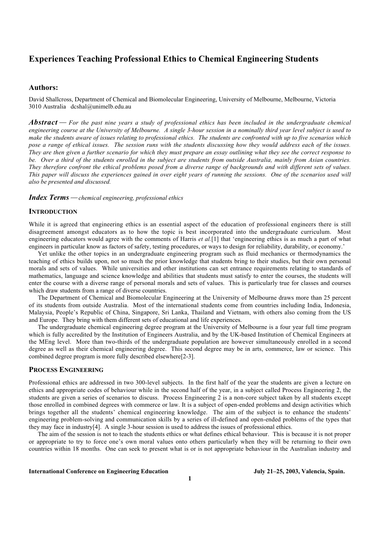# **Experiences Teaching Professional Ethics to Chemical Engineering Students**

# **Authors:**

David Shallcross, Department of Chemical and Biomolecular Engineering, University of Melbourne, Melbourne, Victoria 3010 Australia dcshal@unimelb.edu.au

*Abstract For the past nine years a study of professional ethics has been included in the undergraduate chemical engineering course at the University of Melbourne. A single 3-hour session in a nominally third year level subject is used to make the students aware of issues relating to professional ethics. The students are confronted with up to five scenarios which pose a range of ethical issues. The session runs with the students discussing how they would address each of the issues. They are then given a further scenario for which they must prepare an essay outlining what they see the correct response to be. Over a third of the students enrolled in the subject are students from outside Australia, mainly from Asian countries. They therefore confront the ethical problems posed from a diverse range of backgrounds and with different sets of values. This paper will discuss the experiences gained in over eight years of running the sessions. One of the scenarios used will also be presented and discussed.*

*Index Terms* — *chemical engineering, professional ethics* 

#### **INTRODUCTION**

While it is agreed that engineering ethics is an essential aspect of the education of professional engineers there is still disagreement amongst educators as to how the topic is best incorporated into the undergraduate curriculum. Most engineering educators would agree with the comments of Harris *et al.*[1] that 'engineering ethics is as much a part of what engineers in particular know as factors of safety, testing procedures, or ways to design for reliability, durability, or economy.'

Yet unlike the other topics in an undergraduate engineering program such as fluid mechanics or thermodynamics the teaching of ethics builds upon, not so much the prior knowledge that students bring to their studies, but their own personal morals and sets of values. While universities and other institutions can set entrance requirements relating to standards of mathematics, language and science knowledge and abilities that students must satisfy to enter the courses, the students will enter the course with a diverse range of personal morals and sets of values. This is particularly true for classes and courses which draw students from a range of diverse countries.

The Department of Chemical and Biomolecular Engineering at the University of Melbourne draws more than 25 percent of its students from outside Australia. Most of the international students come from countries including India, Indonesia, Malaysia, People's Republic of China, Singapore, Sri Lanka, Thailand and Vietnam, with others also coming from the US and Europe. They bring with them different sets of educational and life experiences.

The undergraduate chemical engineering degree program at the University of Melbourne is a four year full time program which is fully accredited by the Institution of Engineers Australia, and by the UK-based Institution of Chemical Engineers at the MEng level. More than two-thirds of the undergraduate population are however simultaneously enrolled in a second degree as well as their chemical engineering degree. This second degree may be in arts, commerce, law or science. This combined degree program is more fully described elsewhere[2-3].

## **PROCESS ENGINEERING**

Professional ethics are addressed in two 300-level subjects. In the first half of the year the students are given a lecture on ethics and appropriate codes of behaviour while in the second half of the year, in a subject called Process Engineering 2, the students are given a series of scenarios to discuss. Process Engineering 2 is a non-core subject taken by all students except those enrolled in combined degrees with commerce or law. It is a subject of open-ended problems and design activities which brings together all the students' chemical engineering knowledge. The aim of the subject is to enhance the students' engineering problem-solving and communication skills by a series of ill-defined and open-ended problems of the types that they may face in industry[4]. A single 3-hour session is used to address the issues of professional ethics.

The aim of the session is not to teach the students ethics or what defines ethical behaviour. This is because it is not proper or appropriate to try to force one's own moral values onto others particularly when they will be returning to their own countries within 18 months. One can seek to present what is or is not appropriate behaviour in the Australian industry and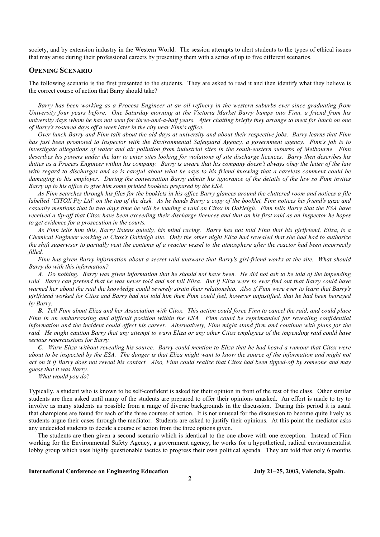society, and by extension industry in the Western World. The session attempts to alert students to the types of ethical issues that may arise during their professional careers by presenting them with a series of up to five different scenarios.

#### **OPENING SCENARIO**

The following scenario is the first presented to the students. They are asked to read it and then identify what they believe is the correct course of action that Barry should take?

*Barry has been working as a Process Engineer at an oil refinery in the western suburbs ever since graduating from University four years before. One Saturday morning at the Victoria Market Barry bumps into Finn, a friend from his university days whom he has not seen for three-and-a-half years. After chatting briefly they arrange to meet for lunch on one of Barry's rostered days off a week later in the city near Finn's office.*

*Over lunch Barry and Finn talk about the old days at university and about their respective jobs. Barry learns that Finn has just been promoted to Inspector with the Environmental Safeguard Agency, a government agency. Finn's job is to investigate allegations of water and air pollution from industrial sites in the south-eastern suburbs of Melbourne. Finn describes his powers under the law to enter sites looking for violations of site discharge licences. Barry then describes his duties as a Process Engineer within his company. Barry is aware that his company doesn't always obey the letter of the law with regard to discharges and so is careful about what he says to his friend knowing that a careless comment could be damaging to his employer. During the conversation Barry admits his ignorance of the details of the law so Finn invites Barry up to his office to give him some printed booklets prepared by the ESA.*

*As Finn searches through his files for the booklets in his office Barry glances around the cluttered room and notices a file labelled 'CITOX Pty Ltd' on the top of the desk. As he hands Barry a copy of the booklet, Finn notices his friend's gaze and casually mentions that in two days time he will be leading a raid on Citox in Oakleigh. Finn tells Barry that the ESA have received a tip-off that Citox have been exceeding their discharge licences and that on his first raid as an Inspector he hopes to get evidence for a prosecution in the courts.*

*As Finn tells him this, Barry listens quietly, his mind racing. Barry has not told Finn that his girlfriend, Eliza, is a Chemical Engineer working at Citox's Oakleigh site. Only the other night Eliza had revealed that she had had to authorize the shift supervisor to partially vent the contents of a reactor vessel to the atmosphere after the reactor had been incorrectly filled.*

*Finn has given Barry information about a secret raid unaware that Barry's girl-friend works at the site. What should Barry do with this information?*

*A. Do nothing. Barry was given information that he should not have been. He did not ask to be told of the impending raid. Barry can pretend that he was never told and not tell Eliza. But if Eliza were to ever find out that Barry could have warned her about the raid the knowledge could severely strain their relationship. Also if Finn were ever to learn that Barry's girlfriend worked for Citox and Barry had not told him then Finn could feel, however unjustified, that he had been betrayed by Barry.*

*B. Tell Finn about Eliza and her Association with Citox. This action could force Finn to cancel the raid, and could place Finn in an embarrassing and difficult position within the ESA. Finn could be reprimanded for revealing confidential information and the incident could effect his career. Alternatively, Finn might stand firm and continue with plans for the raid. He might caution Barry that any attempt to warn Eliza or any other Citox employees of the impending raid could have serious repercussions for Barry.*

*C. Warn Eliza without revealing his source. Barry could mention to Eliza that he had heard a rumour that Citox were about to be inspected by the ESA. The danger is that Eliza might want to know the source of the information and might not act on it if Barry does not reveal his contact. Also, Finn could realize that Citox had been tipped-off by someone and may guess that it was Barry.*

*What would you do?*

Typically, a student who is known to be self-confident is asked for their opinion in front of the rest of the class. Other similar students are then asked until many of the students are prepared to offer their opinions unasked. An effort is made to try to involve as many students as possible from a range of diverse backgrounds in the discussion. During this period it is usual that champions are found for each of the three courses of action. It is not unusual for the discussion to become quite lively as students argue their cases through the mediator. Students are asked to justify their opinions. At this point the mediator asks any undecided students to decide a course of action from the three options given.

The students are then given a second scenario which is identical to the one above with one exception. Instead of Finn working for the Environmental Safety Agency, a government agency, he works for a hypothetical, radical environmentalist lobby group which uses highly questionable tactics to progress their own political agenda. They are told that only 6 months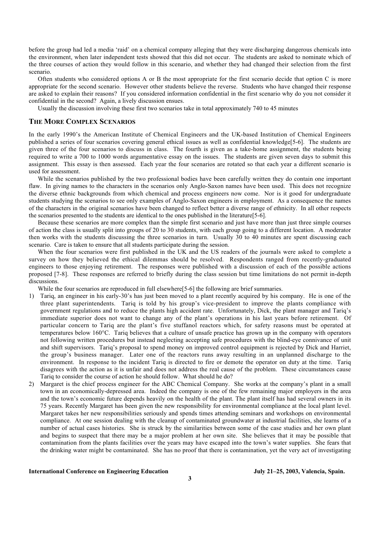before the group had led a media 'raid' on a chemical company alleging that they were discharging dangerous chemicals into the environment, when later independent tests showed that this did not occur. The students are asked to nominate which of the three courses of action they would follow in this scenario, and whether they had changed their selection from the first scenario.

Often students who considered options A or B the most appropriate for the first scenario decide that option C is more appropriate for the second scenario. However other students believe the reverse. Students who have changed their response are asked to explain their reasons? If you considered information confidential in the first scenario why do you not consider it confidential in the second? Again, a lively discussion ensues.

Usually the discussion involving these first two scenarios take in total approximately 740 to 45 minutes

# **THE MORE COMPLEX SCENARIOS**

In the early 1990's the American Institute of Chemical Engineers and the UK-based Institution of Chemical Engineers published a series of four scenarios covering general ethical issues as well as confidential knowledge[5-6]. The students are given three of the four scenarios to discuss in class. The fourth is given as a take-home assignment, the students being required to write a 700 to 1000 words argumentative essay on the issues. The students are given seven days to submit this assignment. This essay is then assessed. Each year the four scenarios are rotated so that each year a different scenario is used for assessment.

While the scenarios published by the two professional bodies have been carefully written they do contain one important flaw. In giving names to the characters in the scenarios only Anglo-Saxon names have been used. This does not recognize the diverse ethnic backgrounds from which chemical and process engineers now come. Nor is it good for undergraduate students studying the scenarios to see only examples of Anglo-Saxon engineers in employment. As a consequence the names of the characters in the original scenarios have been changed to reflect better a diverse range of ethnicity. In all other respects the scenarios presented to the students are identical to the ones published in the literature[5-6].

Because these scenarios are more complex than the simple first scenario and just have more than just three simple courses of action the class is usually split into groups of 20 to 30 students, with each group going to a different location. A moderator then works with the students discussing the three scenarios in turn. Usually 30 to 40 minutes are spent discussing each scenario. Care is taken to ensure that all students participate during the session.

When the four scenarios were first published in the UK and the US readers of the journals were asked to complete a survey on how they believed the ethical dilemmas should be resolved. Respondents ranged from recently-graduated engineers to those enjoying retirement. The responses were published with a discussion of each of the possible actions proposed [7-8]. These responses are referred to briefly during the class session but time limitations do not permit in-depth discussions.

While the four scenarios are reproduced in full elsewhere<sup>[5-6]</sup> the following are brief summaries.

- 1) Tariq, an engineer in his early-30's has just been moved to a plant recently acquired by his company. He is one of the three plant superintendents. Tariq is told by his group's vice-president to improve the plants compliance with government regulations and to reduce the plants high accident rate. Unfortunately, Dick, the plant manager and Tariq's immediate superior does not want to change any of the plant's operations in his last years before retirement. Of particular concern to Tariq are the plant's five stuffanol reactors which, for safety reasons must be operated at temperatures below 160°C. Tariq believes that a culture of unsafe practice has grown up in the company with operators not following written procedures but instead neglecting accepting safe procedures with the blind-eye connivance of unit and shift supervisors. Tariq's proposal to spend money on improved control equipment is rejected by Dick and Harriet, the group's business manager. Later one of the reactors runs away resulting in an unplanned discharge to the environment. In response to the incident Tariq is directed to fire or demote the operator on duty at the time. Tariq disagrees with the action as it is unfair and does not address the real cause of the problem. These circumstances cause Tariq to consider the course of action he should follow. What should he do?
- 2) Margaret is the chief process engineer for the ABC Chemical Company. She works at the company's plant in a small town in an economically-depressed area. Indeed the company is one of the few remaining major employers in the area and the town's economic future depends heavily on the health of the plant. The plant itself has had several owners in its 75 years. Recently Margaret has been given the new responsibility for environmental compliance at the local plant level. Margaret takes her new responsibilities seriously and spends times attending seminars and workshops on environmental compliance. At one session dealing with the cleanup of contaminated groundwater at industrial facilities, she learns of a number of actual cases histories. She is struck by the similarities between some of the case studies and her own plant and begins to suspect that there may be a major problem at her own site. She believes that it may be possible that contamination from the plants facilities over the years may have escaped into the town's water supplies. She fears that the drinking water might be contaminated. She has no proof that there is contamination, yet the very act of investigating

#### **International Conference on Engineering Education July 21–25, 2003, Valencia, Spain.**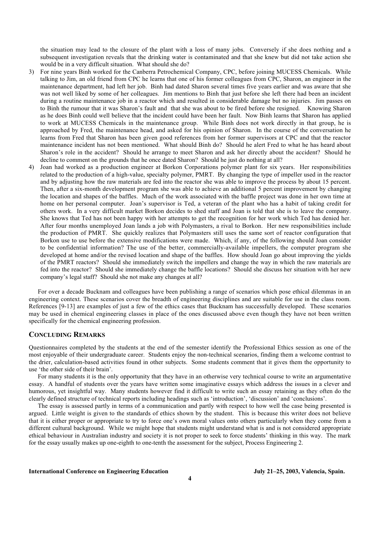the situation may lead to the closure of the plant with a loss of many jobs. Conversely if she does nothing and a subsequent investigation reveals that the drinking water is contaminated and that she knew but did not take action she would be in a very difficult situation. What should she do?

- 3) For nine years Binh worked for the Canberra Petrochemical Company, CPC, before joining MUCESS Chemicals. While talking to Jim, an old friend from CPC he learns that one of his former colleagues from CPC, Sharon, an engineer in the maintenance department, had left her job. Binh had dated Sharon several times five years earlier and was aware that she was not well liked by some of her colleagues. Jim mentions to Binh that just before she left there had been an incident during a routine maintenance job in a reactor which and resulted in considerable damage but no injuries. Jim passes on to Binh the rumour that it was Sharon's fault and that she was about to be fired before she resigned. Knowing Sharon as he does Binh could well believe that the incident could have been her fault. Now Binh learns that Sharon has applied to work at MUCESS Chemicals in the maintenance group. While Binh does not work directly in that group, he is approached by Fred, the maintenance head, and asked for his opinion of Sharon. In the course of the conversation he learns from Fred that Sharon has been given good references from her former supervisors at CPC and that the reactor maintenance incident has not been mentioned. What should Binh do? Should he alert Fred to what he has heard about Sharon's role in the accident? Should he arrange to meet Sharon and ask her directly about the accident? Should he decline to comment on the grounds that he once dated Sharon? Should he just do nothing at all?
- 4) Joan had worked as a production engineer at Borkon Corporations polymer plant for six years. Her responsibilities related to the production of a high-value, specialty polymer, PMRT. By changing the type of impeller used in the reactor and by adjusting how the raw materials are fed into the reactor she was able to improve the process by about 15 percent. Then, after a six-month development program she was able to achieve an additional 5 percent improvement by changing the location and shapes of the baffles. Much of the work associated with the baffle project was done in her own time at home on her personal computer. Joan's supervisor is Ted, a veteran of the plant who has a habit of taking credit for others work. In a very difficult market Borkon decides to shed staff and Joan is told that she is to leave the company. She knows that Ted has not been happy with her attempts to get the recognition for her work which Ted has denied her. After four months unemployed Joan lands a job with Polymasters, a rival to Borkon. Her new responsibilities include the production of PMRT. She quickly realizes that Polymasters still uses the same sort of reactor configuration that Borkon use to use before the extensive modifications were made. Which, if any, of the following should Joan consider to be confidential information? The use of the better, commercially-available impellers, the computer program she developed at home and/or the revised location and shape of the baffles. How should Joan go about improving the yields of the PMRT reactors? Should she immediately switch the impellers and change the way in which the raw materials are fed into the reactor? Should she immediately change the baffle locations? Should she discuss her situation with her new company's legal staff? Should she not make any changes at all?

For over a decade Bucknam and colleagues have been publishing a range of scenarios which pose ethical dilemmas in an engineering context. These scenarios cover the breadth of engineering disciplines and are suitable for use in the class room. References [9-13] are examples of just a few of the ethics cases that Bucknam has successfully developed. These scenarios may be used in chemical engineering classes in place of the ones discussed above even though they have not been written specifically for the chemical engineering profession.

## **CONCLUDING REMARKS**

Questionnaires completed by the students at the end of the semester identify the Professional Ethics session as one of the most enjoyable of their undergraduate career. Students enjoy the non-technical scenarios, finding them a welcome contrast to the drier, calculation-based activities found in other subjects. Some students comment that it gives them the opportunity to use 'the other side of their brain'.

For many students it is the only opportunity that they have in an otherwise very technical course to write an argumentative essay. A handful of students over the years have written some imaginative essays which address the issues in a clever and humorous, yet insightful way. Many students however find it difficult to write such an essay retaining as they often do the clearly defined structure of technical reports including headings such as 'introduction', 'discussion' and 'conclusions'.

The essay is assessed partly in terms of a communication and partly with respect to how well the case being presented is argued. Little weight is given to the standards of ethics shown by the student. This is because this writer does not believe that it is either proper or appropriate to try to force one's own moral values onto others particularly when they come from a different cultural background. While we might hope that students might understand what is and is not considered appropriate ethical behaviour in Australian industry and society it is not proper to seek to force students' thinking in this way. The mark for the essay usually makes up one-eighth to one-tenth the assessment for the subject, Process Engineering 2.